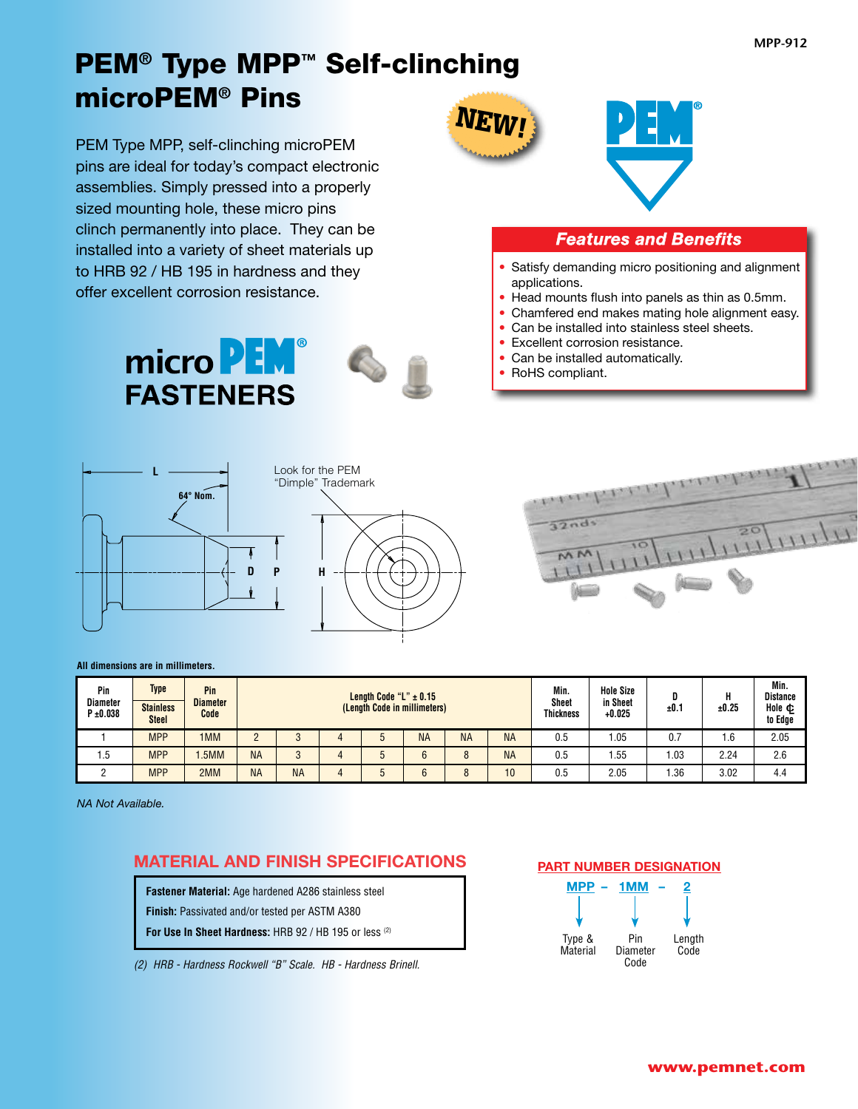## PEM**®** Type MPP**™** Self-clinching microPEM**®** Pins

PEM Type MPP, self-clinching microPEM pins are ideal for today's compact electronic assemblies. Simply pressed into a properly sized mounting hole, these micro pins clinch permanently into place. They can be installed into a variety of sheet materials up to HRB 92 / HB 195 in hardness and they offer excellent corrosion resistance.

> micro **PEM FASTENERS**





### *Features and Benefits*

- Satisfy demanding micro positioning and alignment applications.
- Head mounts flush into panels as thin as 0.5mm.
- Chamfered end makes mating hole alignment easy.
- Can be installed into stainless steel sheets.
- Excellent corrosion resistance.
- Can be installed automatically.
- RoHS compliant.







#### **All dimensions are in millimeters.**

| Pin<br><b>Diameter</b><br>$P \pm 0.038$ | <b>Type</b><br><b>Stainless</b><br><b>Steel</b> | Pin<br><b>Diameter</b><br>Code | Length Code "L" $\pm$ 0.15<br>(Length Code in millimeters) |           |  |  |           |           | Min.<br><b>Sheet</b><br><b>Thickness</b> | <b>Hole Size</b><br>in Sheet<br>$+0.025$ | ±0.7 | ±0.25 | Min.<br><b>Distance</b><br>Hole ¢<br>to Edge |      |
|-----------------------------------------|-------------------------------------------------|--------------------------------|------------------------------------------------------------|-----------|--|--|-----------|-----------|------------------------------------------|------------------------------------------|------|-------|----------------------------------------------|------|
|                                         | <b>MPP</b>                                      | 1MM                            |                                                            |           |  |  | <b>NA</b> | <b>NA</b> | <b>NA</b>                                | 0.5                                      | .05  | 0.7   | .6                                           | 2.05 |
| 1.5                                     | <b>MPP</b>                                      | .5MM                           | <b>NA</b>                                                  |           |  |  |           | 8         | <b>NA</b>                                | 0.5                                      | .55  | 1.03  | 2.24                                         | 2.6  |
|                                         | <b>MPP</b>                                      | 2MM                            | <b>NA</b>                                                  | <b>NA</b> |  |  |           | Ō         | 10                                       | 0.5                                      | 2.05 | .36   | 3.02                                         | 4.4  |

*NA Not Available.*

## **MATERIAL AND FINISH SPECIFICATIONS**

**Fastener Material:** Age hardened A286 stainless steel

**Finish:** Passivated and/or tested per ASTM A380

**For Use In Sheet Hardness:** HRB 92 / HB 195 or less (2)

*(2) HRB - Hardness Rockwell "B" Scale. HB - Hardness Brinell.*

### **PART NUMBER DESIGNATION**